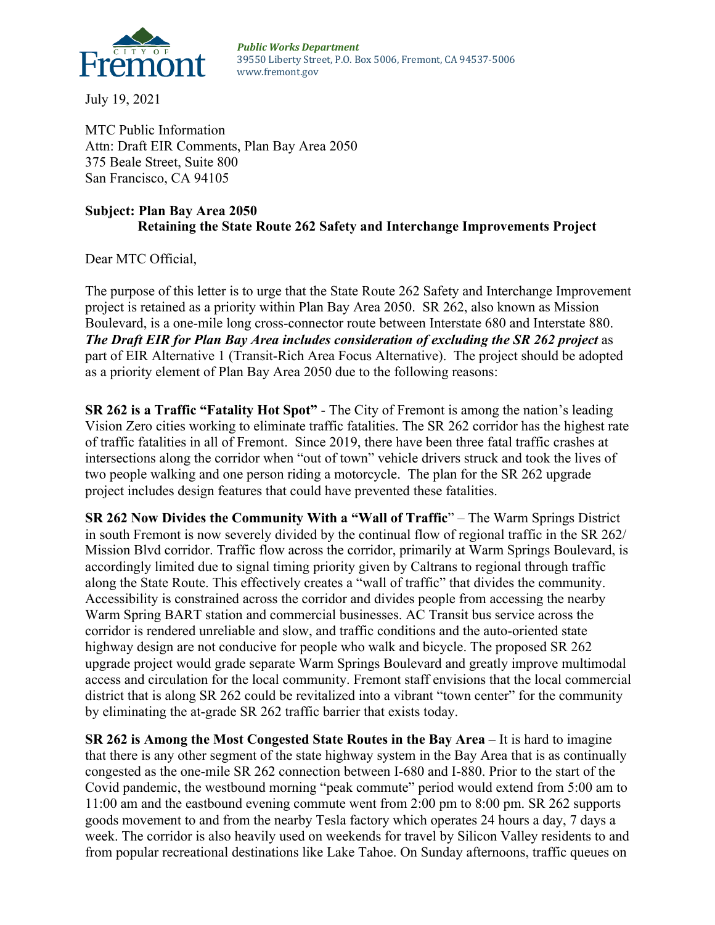

July 19, 2021

MTC Public Information Attn: Draft EIR Comments, Plan Bay Area 2050 375 Beale Street, Suite 800 San Francisco, CA 94105

## **Subject: Plan Bay Area 2050 Retaining the State Route 262 Safety and Interchange Improvements Project**

Dear MTC Official,

The purpose of this letter is to urge that the State Route 262 Safety and Interchange Improvement project is retained as a priority within Plan Bay Area 2050. SR 262, also known as Mission Boulevard, is a one-mile long cross-connector route between Interstate 680 and Interstate 880. *The Draft EIR for Plan Bay Area includes consideration of excluding the SR 262 project* as part of EIR Alternative 1 (Transit-Rich Area Focus Alternative). The project should be adopted as a priority element of Plan Bay Area 2050 due to the following reasons:

**SR 262 is a Traffic "Fatality Hot Spot"** - The City of Fremont is among the nation's leading Vision Zero cities working to eliminate traffic fatalities. The SR 262 corridor has the highest rate of traffic fatalities in all of Fremont. Since 2019, there have been three fatal traffic crashes at intersections along the corridor when "out of town" vehicle drivers struck and took the lives of two people walking and one person riding a motorcycle. The plan for the SR 262 upgrade project includes design features that could have prevented these fatalities.

**SR 262 Now Divides the Community With a "Wall of Traffic**" – The Warm Springs District in south Fremont is now severely divided by the continual flow of regional traffic in the SR 262/ Mission Blvd corridor. Traffic flow across the corridor, primarily at Warm Springs Boulevard, is accordingly limited due to signal timing priority given by Caltrans to regional through traffic along the State Route. This effectively creates a "wall of traffic" that divides the community. Accessibility is constrained across the corridor and divides people from accessing the nearby Warm Spring BART station and commercial businesses. AC Transit bus service across the corridor is rendered unreliable and slow, and traffic conditions and the auto-oriented state highway design are not conducive for people who walk and bicycle. The proposed SR 262 upgrade project would grade separate Warm Springs Boulevard and greatly improve multimodal access and circulation for the local community. Fremont staff envisions that the local commercial district that is along SR 262 could be revitalized into a vibrant "town center" for the community by eliminating the at-grade SR 262 traffic barrier that exists today.

**SR 262 is Among the Most Congested State Routes in the Bay Area** – It is hard to imagine that there is any other segment of the state highway system in the Bay Area that is as continually congested as the one-mile SR 262 connection between I-680 and I-880. Prior to the start of the Covid pandemic, the westbound morning "peak commute" period would extend from 5:00 am to 11:00 am and the eastbound evening commute went from 2:00 pm to 8:00 pm. SR 262 supports goods movement to and from the nearby Tesla factory which operates 24 hours a day, 7 days a week. The corridor is also heavily used on weekends for travel by Silicon Valley residents to and from popular recreational destinations like Lake Tahoe. On Sunday afternoons, traffic queues on